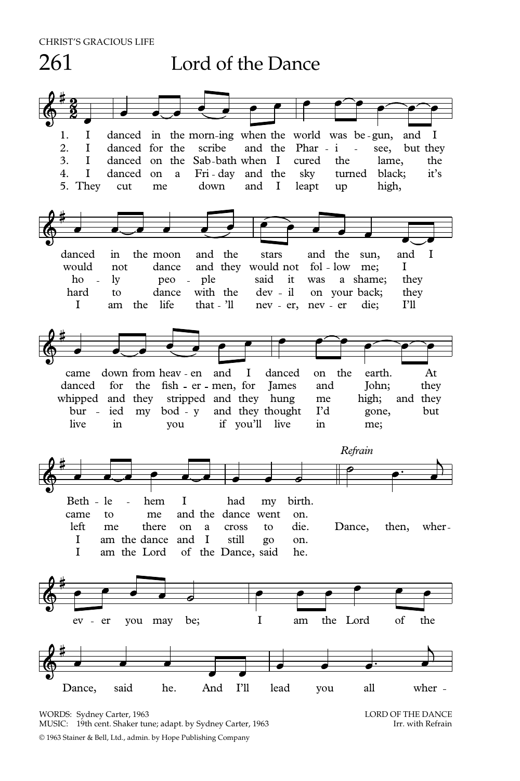

WORDS: Sydney Carter, 1963<br>MUSIC: 19th cent. Shaker tune: adapt. by Sydney Carter. 1963<br>Irr. with Refrain MUSIC: 19th cent. Shaker tune; adapt. by Sydney Carter, 1963 © 1963 Stainer & Bell, Ltd., admin. by Hope Publishing Company